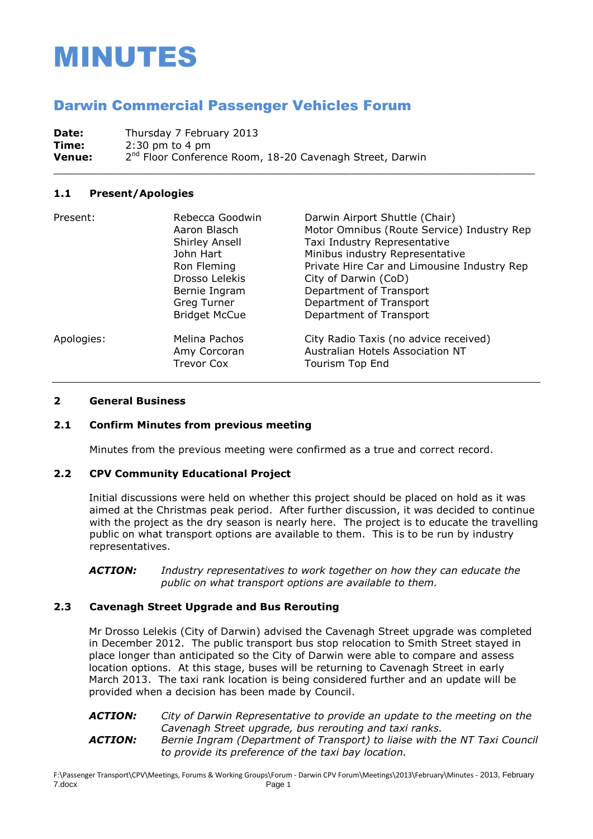# MINUTES

# Darwin Commercial Passenger Vehicles Forum

**Date:** Thursday 7 February 2013 **Time:** 2:30 pm to 4 pm **Venue:** 2 2<sup>nd</sup> Floor Conference Room, 18-20 Cavenagh Street, Darwin

#### **1.1 Present/Apologies**

| Present:   | Rebecca Goodwin<br>Aaron Blasch<br>Shirley Ansell<br>John Hart<br>Ron Fleming<br>Drosso Lelekis<br>Bernie Ingram<br>Greg Turner<br><b>Bridget McCue</b> | Darwin Airport Shuttle (Chair)<br>Motor Omnibus (Route Service) Industry Rep<br>Taxi Industry Representative<br>Minibus industry Representative<br>Private Hire Car and Limousine Industry Rep<br>City of Darwin (CoD)<br>Department of Transport<br>Department of Transport<br>Department of Transport |
|------------|---------------------------------------------------------------------------------------------------------------------------------------------------------|---------------------------------------------------------------------------------------------------------------------------------------------------------------------------------------------------------------------------------------------------------------------------------------------------------|
| Apologies: | Melina Pachos<br>Amy Corcoran<br><b>Trevor Cox</b>                                                                                                      | City Radio Taxis (no advice received)<br>Australian Hotels Association NT<br>Tourism Top End                                                                                                                                                                                                            |

\_\_\_\_\_\_\_\_\_\_\_\_\_\_\_\_\_\_\_\_\_\_\_\_\_\_\_\_\_\_\_\_\_\_\_\_\_\_\_\_\_\_\_\_\_\_\_\_\_\_\_\_\_\_\_\_\_\_\_\_\_\_\_\_\_\_\_\_\_\_\_\_\_\_\_\_

#### **2 General Business**

#### **2.1 Confirm Minutes from previous meeting**

Minutes from the previous meeting were confirmed as a true and correct record.

#### **2.2 CPV Community Educational Project**

Initial discussions were held on whether this project should be placed on hold as it was aimed at the Christmas peak period. After further discussion, it was decided to continue with the project as the dry season is nearly here. The project is to educate the travelling public on what transport options are available to them. This is to be run by industry representatives.

*ACTION: Industry representatives to work together on how they can educate the public on what transport options are available to them.*

#### **2.3 Cavenagh Street Upgrade and Bus Rerouting**

Mr Drosso Lelekis (City of Darwin) advised the Cavenagh Street upgrade was completed in December 2012. The public transport bus stop relocation to Smith Street stayed in place longer than anticipated so the City of Darwin were able to compare and assess location options. At this stage, buses will be returning to Cavenagh Street in early March 2013. The taxi rank location is being considered further and an update will be provided when a decision has been made by Council.

*ACTION: City of Darwin Representative to provide an update to the meeting on the Cavenagh Street upgrade, bus rerouting and taxi ranks. ACTION: Bernie Ingram (Department of Transport) to liaise with the NT Taxi Council to provide its preference of the taxi bay location.*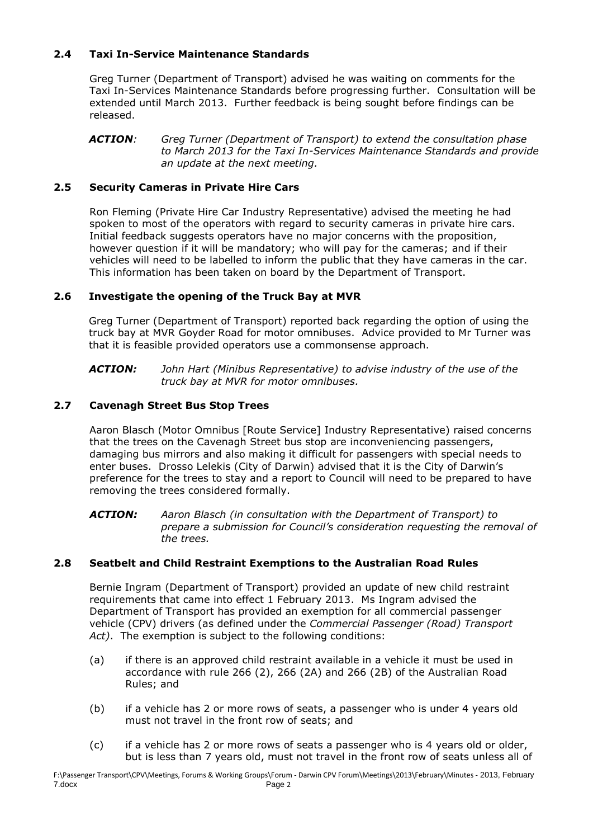# **2.4 Taxi In-Service Maintenance Standards**

Greg Turner (Department of Transport) advised he was waiting on comments for the Taxi In-Services Maintenance Standards before progressing further. Consultation will be extended until March 2013. Further feedback is being sought before findings can be released.

*ACTION: Greg Turner (Department of Transport) to extend the consultation phase to March 2013 for the Taxi In-Services Maintenance Standards and provide an update at the next meeting.*

# **2.5 Security Cameras in Private Hire Cars**

Ron Fleming (Private Hire Car Industry Representative) advised the meeting he had spoken to most of the operators with regard to security cameras in private hire cars. Initial feedback suggests operators have no major concerns with the proposition, however question if it will be mandatory; who will pay for the cameras; and if their vehicles will need to be labelled to inform the public that they have cameras in the car. This information has been taken on board by the Department of Transport.

# **2.6 Investigate the opening of the Truck Bay at MVR**

Greg Turner (Department of Transport) reported back regarding the option of using the truck bay at MVR Goyder Road for motor omnibuses. Advice provided to Mr Turner was that it is feasible provided operators use a commonsense approach.

*ACTION: John Hart (Minibus Representative) to advise industry of the use of the truck bay at MVR for motor omnibuses.*

# **2.7 Cavenagh Street Bus Stop Trees**

Aaron Blasch (Motor Omnibus [Route Service] Industry Representative) raised concerns that the trees on the Cavenagh Street bus stop are inconveniencing passengers, damaging bus mirrors and also making it difficult for passengers with special needs to enter buses. Drosso Lelekis (City of Darwin) advised that it is the City of Darwin's preference for the trees to stay and a report to Council will need to be prepared to have removing the trees considered formally.

*ACTION: Aaron Blasch (in consultation with the Department of Transport) to prepare a submission for Council's consideration requesting the removal of the trees.*

# **2.8 Seatbelt and Child Restraint Exemptions to the Australian Road Rules**

Bernie Ingram (Department of Transport) provided an update of new child restraint requirements that came into effect 1 February 2013. Ms Ingram advised the Department of Transport has provided an exemption for all commercial passenger vehicle (CPV) drivers (as defined under the *Commercial Passenger (Road) Transport Act)*. The exemption is subject to the following conditions:

- (a) if there is an approved child restraint available in a vehicle it must be used in accordance with rule 266 (2), 266 (2A) and 266 (2B) of the Australian Road Rules; and
- (b) if a vehicle has 2 or more rows of seats, a passenger who is under 4 years old must not travel in the front row of seats; and
- (c) if a vehicle has 2 or more rows of seats a passenger who is 4 years old or older, but is less than 7 years old, must not travel in the front row of seats unless all of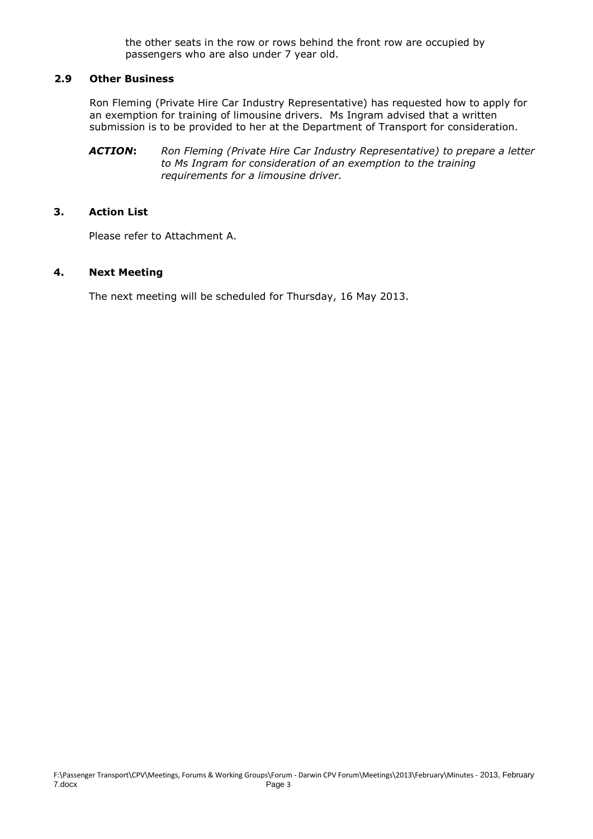the other seats in the row or rows behind the front row are occupied by passengers who are also under 7 year old.

#### **2.9 Other Business**

Ron Fleming (Private Hire Car Industry Representative) has requested how to apply for an exemption for training of limousine drivers. Ms Ingram advised that a written submission is to be provided to her at the Department of Transport for consideration.

*ACTION***:** *Ron Fleming (Private Hire Car Industry Representative) to prepare a letter to Ms Ingram for consideration of an exemption to the training requirements for a limousine driver.*

#### **3. Action List**

Please refer to Attachment A.

#### **4. Next Meeting**

The next meeting will be scheduled for Thursday, 16 May 2013.